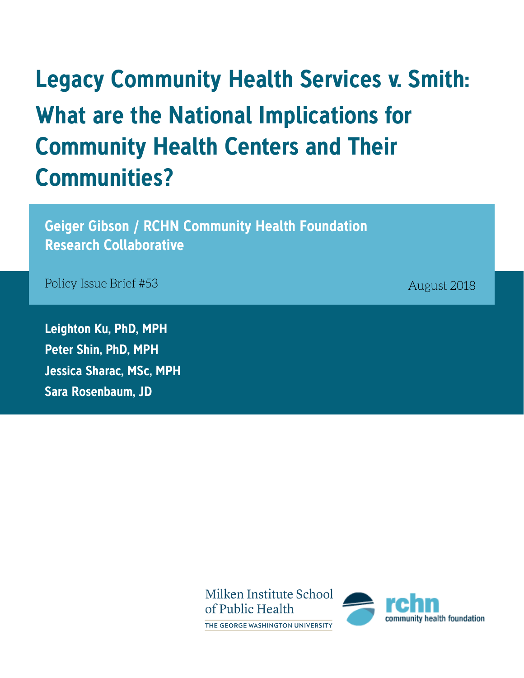# **Legacy Community Health Services v. Smith: What are the National Implications for Community Health Centers and Their Communities?**

**Geiger Gibson / RCHN Community Health Foundation Research Collaborative**

Policy Issue Brief #53

**Leighton Ku, PhD, MPH Peter Shin, PhD, MPH Jessica Sharac, MSc, MPH Sara Rosenbaum, JD**

August 2018

Milken Institute School of Public Health THE GEORGE WASHINGTON UNIVERSITY

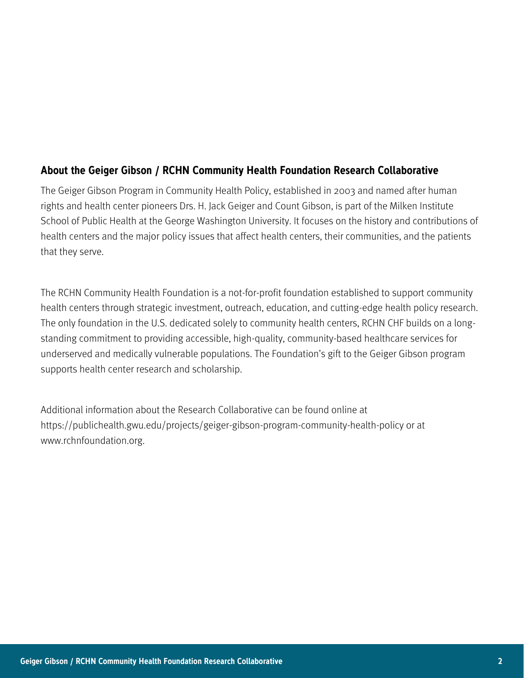#### **About the Geiger Gibson / RCHN Community Health Foundation Research Collaborative**

The Geiger Gibson Program in Community Health Policy, established in 2003 and named after human rights and health center pioneers Drs. H. Jack Geiger and Count Gibson, is part of the Milken Institute School of Public Health at the George Washington University. It focuses on the history and contributions of health centers and the major policy issues that affect health centers, their communities, and the patients that they serve.

The RCHN Community Health Foundation is a not-for-profit foundation established to support community health centers through strategic investment, outreach, education, and cutting-edge health policy research. The only foundation in the U.S. dedicated solely to community health centers, RCHN CHF builds on a longstanding commitment to providing accessible, high-quality, community-based healthcare services for underserved and medically vulnerable populations. The Foundation's gift to the Geiger Gibson program supports health center research and scholarship.

Additional information about the Research Collaborative can be found online at https://publichealth.gwu.edu/projects/geiger-gibson-program-community-health-policy or at www.rchnfoundation.org.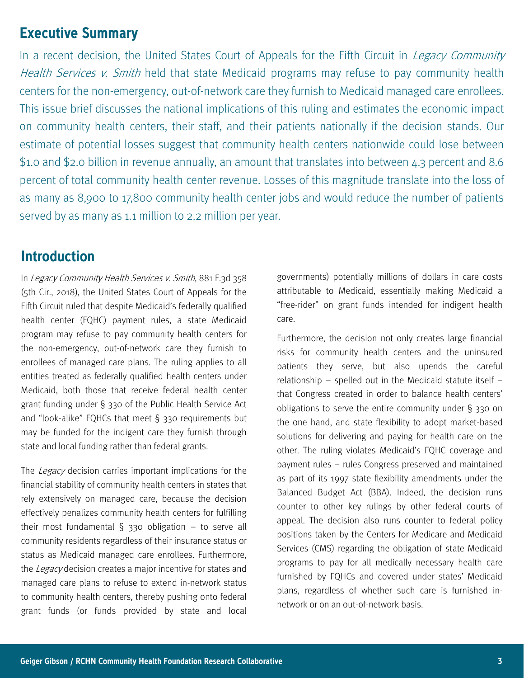#### **Executive Summary**

In a recent decision, the United States Court of Appeals for the Fifth Circuit in *Legacy Community* Health Services v. Smith held that state Medicaid programs may refuse to pay community health centers for the non-emergency, out-of-network care they furnish to Medicaid managed care enrollees. This issue brief discusses the national implications of this ruling and estimates the economic impact on community health centers, their staff, and their patients nationally if the decision stands. Our estimate of potential losses suggest that community health centers nationwide could lose between \$1.0 and \$2.0 billion in revenue annually, an amount that translates into between 4.3 percent and 8.6 percent of total community health center revenue. Losses of this magnitude translate into the loss of as many as 8,900 to 17,800 community health center jobs and would reduce the number of patients served by as many as 1.1 million to 2.2 million per year.

## **Introduction**

In Legacy Community Health Services v. Smith, 881 F.3d 358 (5th Cir., 2018), the United States Court of Appeals for the Fifth Circuit ruled that despite Medicaid's federally qualified health center (FQHC) payment rules, a state Medicaid program may refuse to pay community health centers for the non-emergency, out-of-network care they furnish to enrollees of managed care plans. The ruling applies to all entities treated as federally qualified health centers under Medicaid, both those that receive federal health center grant funding under § 330 of the Public Health Service Act and "look-alike" FQHCs that meet § 330 requirements but may be funded for the indigent care they furnish through state and local funding rather than federal grants.

The Legacy decision carries important implications for the financial stability of community health centers in states that rely extensively on managed care, because the decision effectively penalizes community health centers for fulfilling their most fundamental  $\S$  330 obligation – to serve all community residents regardless of their insurance status or status as Medicaid managed care enrollees. Furthermore, the Legacy decision creates a major incentive for states and managed care plans to refuse to extend in-network status to community health centers, thereby pushing onto federal grant funds (or funds provided by state and local

governments) potentially millions of dollars in care costs attributable to Medicaid, essentially making Medicaid a "free-rider" on grant funds intended for indigent health care.

Furthermore, the decision not only creates large financial risks for community health centers and the uninsured patients they serve, but also upends the careful relationship – spelled out in the Medicaid statute itself – that Congress created in order to balance health centers' obligations to serve the entire community under § 330 on the one hand, and state flexibility to adopt market-based solutions for delivering and paying for health care on the other. The ruling violates Medicaid's FQHC coverage and payment rules – rules Congress preserved and maintained as part of its 1997 state flexibility amendments under the Balanced Budget Act (BBA). Indeed, the decision runs counter to other key rulings by other federal courts of appeal. The decision also runs counter to federal policy positions taken by the Centers for Medicare and Medicaid Services (CMS) regarding the obligation of state Medicaid programs to pay for all medically necessary health care furnished by FQHCs and covered under states' Medicaid plans, regardless of whether such care is furnished innetwork or on an out-of-network basis.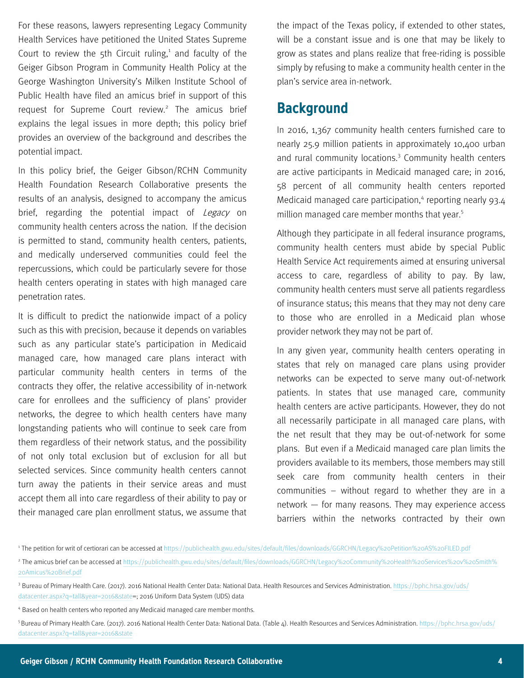For these reasons, lawyers representing Legacy Community Health Services have petitioned the United States Supreme Court to review the 5th Circuit ruling, $1$  and faculty of the Geiger Gibson Program in Community Health Policy at the George Washington University's Milken Institute School of Public Health have filed an amicus brief in support of this request for Supreme Court review.<sup>2</sup> The amicus brief explains the legal issues in more depth; this policy brief provides an overview of the background and describes the potential impact.

In this policy brief, the Geiger Gibson/RCHN Community Health Foundation Research Collaborative presents the results of an analysis, designed to accompany the amicus brief, regarding the potential impact of Legacy on community health centers across the nation. If the decision is permitted to stand, community health centers, patients, and medically underserved communities could feel the repercussions, which could be particularly severe for those health centers operating in states with high managed care penetration rates.

It is difficult to predict the nationwide impact of a policy such as this with precision, because it depends on variables such as any particular state's participation in Medicaid managed care, how managed care plans interact with particular community health centers in terms of the contracts they offer, the relative accessibility of in-network care for enrollees and the sufficiency of plans' provider networks, the degree to which health centers have many longstanding patients who will continue to seek care from them regardless of their network status, and the possibility of not only total exclusion but of exclusion for all but selected services. Since community health centers cannot turn away the patients in their service areas and must accept them all into care regardless of their ability to pay or their managed care plan enrollment status, we assume that

the impact of the Texas policy, if extended to other states, will be a constant issue and is one that may be likely to grow as states and plans realize that free-riding is possible simply by refusing to make a community health center in the plan's service area in-network.

#### **Background**

In 2016, 1,367 community health centers furnished care to nearly 25.9 million patients in approximately 10,400 urban and rural community locations.<sup>3</sup> Community health centers are active participants in Medicaid managed care; in 2016, 58 percent of all community health centers reported Medicaid managed care participation,<sup>4</sup> reporting nearly 93.4 million managed care member months that year.<sup>5</sup>

Although they participate in all federal insurance programs, community health centers must abide by special Public Health Service Act requirements aimed at ensuring universal access to care, regardless of ability to pay. By law, community health centers must serve all patients regardless of insurance status; this means that they may not deny care to those who are enrolled in a Medicaid plan whose provider network they may not be part of.

In any given year, community health centers operating in states that rely on managed care plans using provider networks can be expected to serve many out-of-network patients. In states that use managed care, community health centers are active participants. However, they do not all necessarily participate in all managed care plans, with the net result that they may be out-of-network for some plans. But even if a Medicaid managed care plan limits the providers available to its members, those members may still seek care from community health centers in their communities – without regard to whether they are in a network — for many reasons. They may experience access barriers within the networks contracted by their own

<sup>1</sup>The petition for writ of certiorari can be accessed at <https://publichealth.gwu.edu/sites/default/files/downloads/GGRCHN/Legacy%20Petition%20AS%20FILED.pdf>

<sup>&</sup>lt;sup>2</sup> The amicus brief can be accessed at [https://publichealth.gwu.edu/sites/default/files/downloads/GGRCHN/Legacy%20Community%20Health%20Services%20v%20Smith%](https://publichealth.gwu.edu/sites/default/files/downloads/GGRCHN/Legacy%20Community%20Health%20Services%20v%20Smith%20Amicus%20Brief.pdf) [20Amicus%20Brief.pdf](https://publichealth.gwu.edu/sites/default/files/downloads/GGRCHN/Legacy%20Community%20Health%20Services%20v%20Smith%20Amicus%20Brief.pdf)

<sup>&</sup>lt;sup>3</sup> Bureau of Primary Health Care. (2017). 2016 National Health Center Data: National Data. Health Resources and Services Administration. [https://bphc.hrsa.gov/uds/](https://bphc.hrsa.gov/uds/datacenter.aspx?q=tall&year=2016&state) [datacenter.aspx?q=tall&year=2016&state=;](https://bphc.hrsa.gov/uds/datacenter.aspx?q=tall&year=2016&state) 2016 Uniform Data System (UDS) data

<sup>&</sup>lt;sup>4</sup> Based on health centers who reported any Medicaid managed care member months.

<sup>5</sup>Bureau of Primary Health Care. (2017). 2016 National Health Center Data: National Data. (Table 4). Health Resources and Services Administration. [https://bphc.hrsa.gov/uds/](https://bphc.hrsa.gov/uds/datacenter.aspx?q=tall&year=2016&state=PR) [datacenter.aspx?q=tall&year=2016&state](https://bphc.hrsa.gov/uds/datacenter.aspx?q=tall&year=2016&state=PR)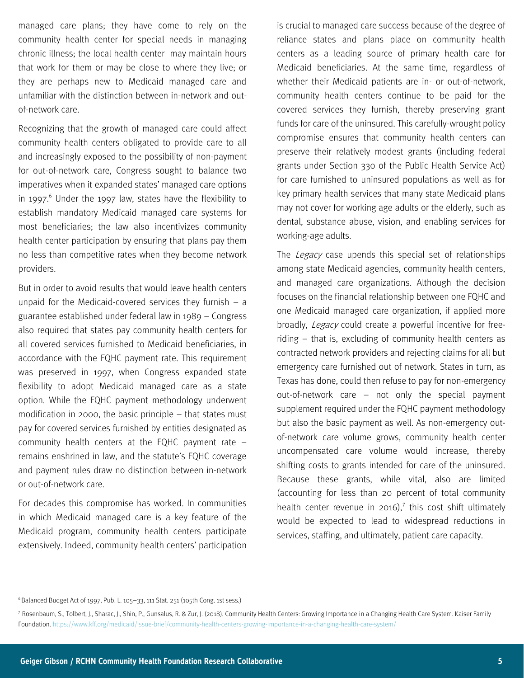managed care plans; they have come to rely on the community health center for special needs in managing chronic illness; the local health center may maintain hours that work for them or may be close to where they live; or they are perhaps new to Medicaid managed care and unfamiliar with the distinction between in-network and outof-network care.

Recognizing that the growth of managed care could affect community health centers obligated to provide care to all and increasingly exposed to the possibility of non-payment for out-of-network care, Congress sought to balance two imperatives when it expanded states' managed care options in 1997. $6$  Under the 1997 law, states have the flexibility to establish mandatory Medicaid managed care systems for most beneficiaries; the law also incentivizes community health center participation by ensuring that plans pay them no less than competitive rates when they become network providers.

But in order to avoid results that would leave health centers unpaid for the Medicaid-covered services they furnish  $-$  a guarantee established under federal law in 1989 – Congress also required that states pay community health centers for all covered services furnished to Medicaid beneficiaries, in accordance with the FQHC payment rate. This requirement was preserved in 1997, when Congress expanded state flexibility to adopt Medicaid managed care as a state option. While the FQHC payment methodology underwent modification in 2000, the basic principle – that states must pay for covered services furnished by entities designated as community health centers at the FQHC payment rate – remains enshrined in law, and the statute's FQHC coverage and payment rules draw no distinction between in-network or out-of-network care.

For decades this compromise has worked. In communities in which Medicaid managed care is a key feature of the Medicaid program, community health centers participate extensively. Indeed, community health centers' participation

is crucial to managed care success because of the degree of reliance states and plans place on community health centers as a leading source of primary health care for Medicaid beneficiaries. At the same time, regardless of whether their Medicaid patients are in- or out-of-network, community health centers continue to be paid for the covered services they furnish, thereby preserving grant funds for care of the uninsured. This carefully-wrought policy compromise ensures that community health centers can preserve their relatively modest grants (including federal grants under Section 330 of the Public Health Service Act) for care furnished to uninsured populations as well as for key primary health services that many state Medicaid plans may not cover for working age adults or the elderly, such as dental, substance abuse, vision, and enabling services for working-age adults.

The *Legacy* case upends this special set of relationships among state Medicaid agencies, community health centers, and managed care organizations. Although the decision focuses on the financial relationship between one FQHC and one Medicaid managed care organization, if applied more broadly, Legacy could create a powerful incentive for freeriding – that is, excluding of community health centers as contracted network providers and rejecting claims for all but emergency care furnished out of network. States in turn, as Texas has done, could then refuse to pay for non-emergency out-of-network care – not only the special payment supplement required under the FQHC payment methodology but also the basic payment as well. As non-emergency outof-network care volume grows, community health center uncompensated care volume would increase, thereby shifting costs to grants intended for care of the uninsured. Because these grants, while vital, also are limited (accounting for less than 20 percent of total community health center revenue in 2016),<sup>7</sup> this cost shift ultimately would be expected to lead to widespread reductions in services, staffing, and ultimately, patient care capacity.

 $6$ Balanced Budget Act of 1997, Pub. L. 105-33, 111 Stat. 251 (105th Cong. 1st sess.)

<sup>7</sup> Rosenbaum, S., Tolbert, J., Sharac, J., Shin, P., Gunsalus, R. & Zur, J. (2018). Community Health Centers: Growing Importance in a Changing Health Care System. Kaiser Family Foundation. <https://www.kff.org/medicaid/issue-brief/community-health-centers-growing-importance-in-a-changing-health-care-system/>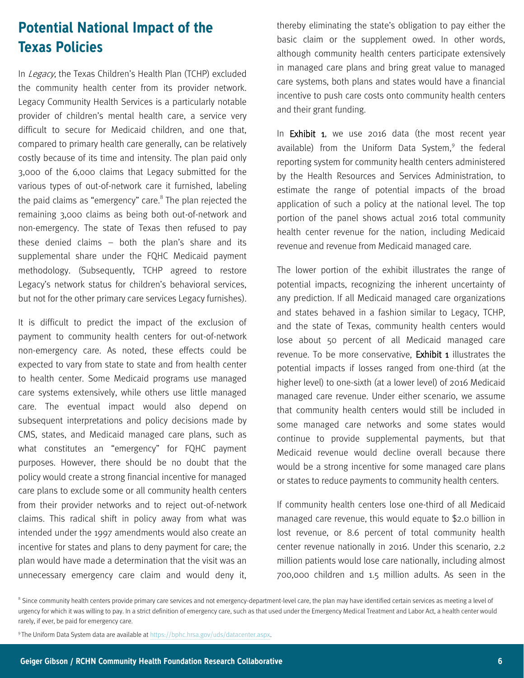# **Potential National Impact of the Texas Policies**

In Legacy, the Texas Children's Health Plan (TCHP) excluded the community health center from its provider network. Legacy Community Health Services is a particularly notable provider of children's mental health care, a service very difficult to secure for Medicaid children, and one that, compared to primary health care generally, can be relatively costly because of its time and intensity. The plan paid only 3,000 of the 6,000 claims that Legacy submitted for the various types of out-of-network care it furnished, labeling the paid claims as "emergency" care.<sup>8</sup> The plan rejected the remaining 3,000 claims as being both out-of-network and non-emergency. The state of Texas then refused to pay these denied claims – both the plan's share and its supplemental share under the FQHC Medicaid payment methodology. (Subsequently, TCHP agreed to restore Legacy's network status for children's behavioral services, but not for the other primary care services Legacy furnishes).

It is difficult to predict the impact of the exclusion of payment to community health centers for out-of-network non-emergency care. As noted, these effects could be expected to vary from state to state and from health center to health center. Some Medicaid programs use managed care systems extensively, while others use little managed care. The eventual impact would also depend on subsequent interpretations and policy decisions made by CMS, states, and Medicaid managed care plans, such as what constitutes an "emergency" for FQHC payment purposes. However, there should be no doubt that the policy would create a strong financial incentive for managed care plans to exclude some or all community health centers from their provider networks and to reject out-of-network claims. This radical shift in policy away from what was intended under the 1997 amendments would also create an incentive for states and plans to deny payment for care; the plan would have made a determination that the visit was an unnecessary emergency care claim and would deny it,

thereby eliminating the state's obligation to pay either the basic claim or the supplement owed. In other words, although community health centers participate extensively in managed care plans and bring great value to managed care systems, both plans and states would have a financial incentive to push care costs onto community health centers and their grant funding.

In **Exhibit 1**, we use 2016 data (the most recent year available) from the Uniform Data System,<sup>9</sup> the federal reporting system for community health centers administered by the Health Resources and Services Administration, to estimate the range of potential impacts of the broad application of such a policy at the national level. The top portion of the panel shows actual 2016 total community health center revenue for the nation, including Medicaid revenue and revenue from Medicaid managed care.

The lower portion of the exhibit illustrates the range of potential impacts, recognizing the inherent uncertainty of any prediction. If all Medicaid managed care organizations and states behaved in a fashion similar to Legacy, TCHP, and the state of Texas, community health centers would lose about 50 percent of all Medicaid managed care revenue. To be more conservative. Exhibit 1 illustrates the potential impacts if losses ranged from one-third (at the higher level) to one-sixth (at a lower level) of 2016 Medicaid managed care revenue. Under either scenario, we assume that community health centers would still be included in some managed care networks and some states would continue to provide supplemental payments, but that Medicaid revenue would decline overall because there would be a strong incentive for some managed care plans or states to reduce payments to community health centers.

If community health centers lose one-third of all Medicaid managed care revenue, this would equate to \$2.0 billion in lost revenue, or 8.6 percent of total community health center revenue nationally in 2016. Under this scenario, 2.2 million patients would lose care nationally, including almost 700,000 children and 1.5 million adults. As seen in the

<sup>9</sup>The Uniform Data System data are available at [https://bphc.hrsa.gov/uds/datacenter.aspx.](https://bphc.hrsa.gov/uds/datacenter.aspx) 

<sup>&</sup>lt;sup>8</sup> Since community health centers provide primary care services and not emergency-department-level care, the plan may have identified certain services as meeting a level of urgency for which it was willing to pay. In a strict definition of emergency care, such as that used under the Emergency Medical Treatment and Labor Act, a health center would rarely, if ever, be paid for emergency care.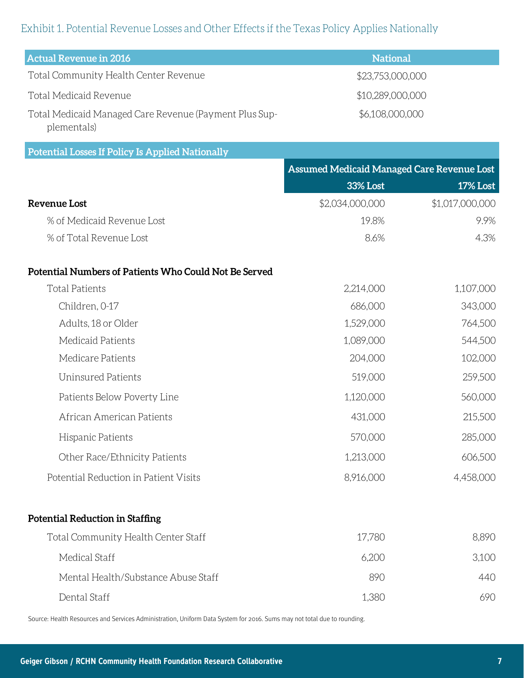#### Exhibit 1. Potential Revenue Losses and Other Effects if the Texas Policy Applies Nationally

| <b>Actual Revenue in 2016</b>                                         | <b>National</b>  |
|-----------------------------------------------------------------------|------------------|
| Total Community Health Center Revenue                                 | \$23,753,000,000 |
| Total Medicaid Revenue                                                | \$10,289,000,000 |
| Total Medicaid Managed Care Revenue (Payment Plus Sup-<br>plementals) | \$6,108,000,000  |

#### Potential Losses If Policy Is Applied Nationally

|                                                       | <b>Assumed Medicaid Managed Care Revenue Lost</b> |                 |
|-------------------------------------------------------|---------------------------------------------------|-----------------|
|                                                       | <b>33% Lost</b>                                   | <b>17% Lost</b> |
| <b>Revenue Lost</b>                                   | \$2,034,000,000                                   | \$1,017,000,000 |
| % of Medicaid Revenue Lost                            | 19.8%                                             | 9.9%            |
| % of Total Revenue Lost                               | 8.6%                                              | 4.3%            |
| Potential Numbers of Patients Who Could Not Be Served |                                                   |                 |
| <b>Total Patients</b>                                 | 2,214,000                                         | 1,107,000       |
| Children, 0-17                                        | 686,000                                           | 343,000         |
| Adults, 18 or Older                                   | 1,529,000                                         | 764,500         |
| Medicaid Patients                                     | 1,089,000                                         | 544,500         |
| Medicare Patients                                     | 204,000                                           | 102,000         |
| <b>Uninsured Patients</b>                             | 519,000                                           | 259,500         |
| Patients Below Poverty Line                           | 1,120,000                                         | 560,000         |
| African American Patients                             | 431,000                                           | 215,500         |
| Hispanic Patients                                     | 570,000                                           | 285,000         |
| Other Race/Ethnicity Patients                         | 1,213,000                                         | 606,500         |
| Potential Reduction in Patient Visits                 | 8,916,000                                         | 4,458,000       |
| <b>Potential Reduction in Staffing</b>                |                                                   |                 |
| Total Community Health Center Staff                   | 17,780                                            | 8,890           |
| Medical Staff                                         | 6,200                                             | 3,100           |
| Mental Health/Substance Abuse Staff                   | 890                                               | 440             |
| Dental Staff                                          | 1,380                                             | 690             |

Source: Health Resources and Services Administration, Uniform Data System for 2016. Sums may not total due to rounding.